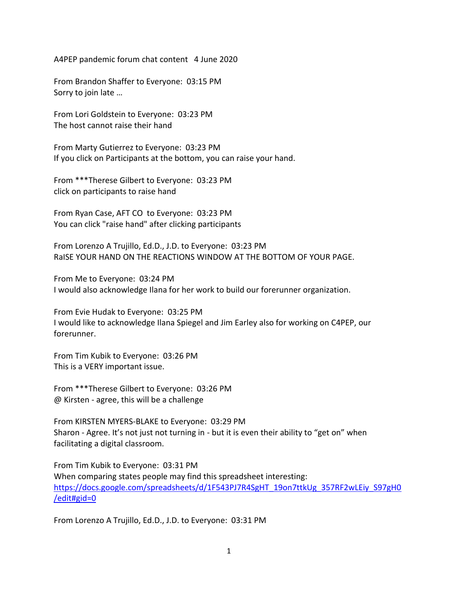A4PEP pandemic forum chat content 4 June 2020

From Brandon Shaffer to Everyone: 03:15 PM Sorry to join late …

From Lori Goldstein to Everyone: 03:23 PM The host cannot raise their hand

From Marty Gutierrez to Everyone: 03:23 PM If you click on Participants at the bottom, you can raise your hand.

From \*\*\*Therese Gilbert to Everyone: 03:23 PM click on participants to raise hand

From Ryan Case, AFT CO to Everyone: 03:23 PM You can click "raise hand" after clicking participants

From Lorenzo A Trujillo, Ed.D., J.D. to Everyone: 03:23 PM RaISE YOUR HAND ON THE REACTIONS WINDOW AT THE BOTTOM OF YOUR PAGE.

From Me to Everyone: 03:24 PM I would also acknowledge Ilana for her work to build our forerunner organization.

From Evie Hudak to Everyone: 03:25 PM I would like to acknowledge Ilana Spiegel and Jim Earley also for working on C4PEP, our forerunner.

From Tim Kubik to Everyone: 03:26 PM This is a VERY important issue.

From \*\*\*Therese Gilbert to Everyone: 03:26 PM @ Kirsten - agree, this will be a challenge

From KIRSTEN MYERS-BLAKE to Everyone: 03:29 PM Sharon - Agree. It's not just not turning in - but it is even their ability to "get on" when facilitating a digital classroom.

From Tim Kubik to Everyone: 03:31 PM When comparing states people may find this spreadsheet interesting: [https://docs.google.com/spreadsheets/d/1F543PJ7R4SgHT\\_19on7ttkUg\\_357RF2wLEiy\\_S97gH0](https://docs.google.com/spreadsheets/d/1F543PJ7R4SgHT_19on7ttkUg_357RF2wLEiy_S97gH0/edit#gid=0) [/edit#gid=0](https://docs.google.com/spreadsheets/d/1F543PJ7R4SgHT_19on7ttkUg_357RF2wLEiy_S97gH0/edit#gid=0)

From Lorenzo A Trujillo, Ed.D., J.D. to Everyone: 03:31 PM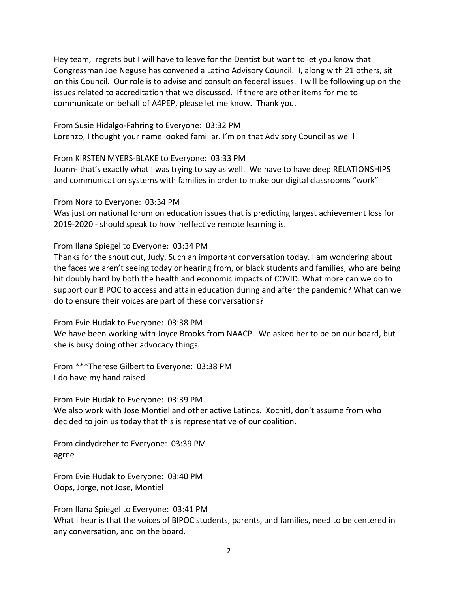Hey team, regrets but I will have to leave for the Dentist but want to let you know that Congressman Joe Neguse has convened a Latino Advisory Council. I, along with 21 others, sit on this Council. Our role is to advise and consult on federal issues. I will be following up on the issues related to accreditation that we discussed. If there are other items for me to communicate on behalf of A4PEP, please let me know. Thank you.

From Susie Hidalgo-Fahring to Everyone: 03:32 PM Lorenzo, I thought your name looked familiar. I'm on that Advisory Council as well!

From KIRSTEN MYERS-BLAKE to Everyone: 03:33 PM

Joann- that's exactly what I was trying to say as well. We have to have deep RELATIONSHIPS and communication systems with families in order to make our digital classrooms "work"

From Nora to Everyone: 03:34 PM

Was just on national forum on education issues that is predicting largest achievement loss for 2019-2020 - should speak to how ineffective remote learning is.

From Ilana Spiegel to Everyone: 03:34 PM

Thanks for the shout out, Judy. Such an important conversation today. I am wondering about the faces we aren't seeing today or hearing from, or black students and families, who are being hit doubly hard by both the health and economic impacts of COVID. What more can we do to support our BIPOC to access and attain education during and after the pandemic? What can we do to ensure their voices are part of these conversations?

From Evie Hudak to Everyone: 03:38 PM We have been working with Joyce Brooks from NAACP. We asked her to be on our board, but she is busy doing other advocacy things.

From \*\*\*Therese Gilbert to Everyone: 03:38 PM I do have my hand raised

From Evie Hudak to Everyone: 03:39 PM We also work with Jose Montiel and other active Latinos. Xochitl, don't assume from who decided to join us today that this is representative of our coalition.

From cindydreher to Everyone: 03:39 PM agree

From Evie Hudak to Everyone: 03:40 PM Oops, Jorge, not Jose, Montiel

From Ilana Spiegel to Everyone: 03:41 PM What I hear is that the voices of BIPOC students, parents, and families, need to be centered in any conversation, and on the board.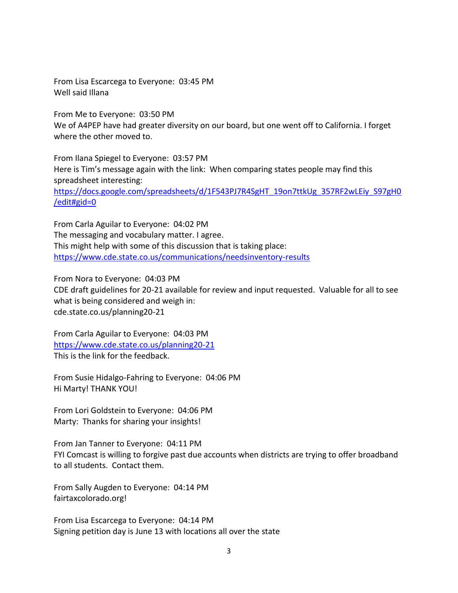From Lisa Escarcega to Everyone: 03:45 PM Well said Illana

From Me to Everyone: 03:50 PM We of A4PEP have had greater diversity on our board, but one went off to California. I forget where the other moved to.

From Ilana Spiegel to Everyone: 03:57 PM Here is Tim's message again with the link: When comparing states people may find this spreadsheet interesting: [https://docs.google.com/spreadsheets/d/1F543PJ7R4SgHT\\_19on7ttkUg\\_357RF2wLEiy\\_S97gH0](https://docs.google.com/spreadsheets/d/1F543PJ7R4SgHT_19on7ttkUg_357RF2wLEiy_S97gH0/edit#gid=0) [/edit#gid=0](https://docs.google.com/spreadsheets/d/1F543PJ7R4SgHT_19on7ttkUg_357RF2wLEiy_S97gH0/edit#gid=0)

From Carla Aguilar to Everyone: 04:02 PM The messaging and vocabulary matter. I agree. This might help with some of this discussion that is taking place: <https://www.cde.state.co.us/communications/needsinventory-results>

From Nora to Everyone: 04:03 PM CDE draft guidelines for 20-21 available for review and input requested. Valuable for all to see what is being considered and weigh in: cde.state.co.us/planning20-21

From Carla Aguilar to Everyone: 04:03 PM <https://www.cde.state.co.us/planning20-21> This is the link for the feedback.

From Susie Hidalgo-Fahring to Everyone: 04:06 PM Hi Marty! THANK YOU!

From Lori Goldstein to Everyone: 04:06 PM Marty: Thanks for sharing your insights!

From Jan Tanner to Everyone: 04:11 PM FYI Comcast is willing to forgive past due accounts when districts are trying to offer broadband to all students. Contact them.

From Sally Augden to Everyone: 04:14 PM fairtaxcolorado.org!

From Lisa Escarcega to Everyone: 04:14 PM Signing petition day is June 13 with locations all over the state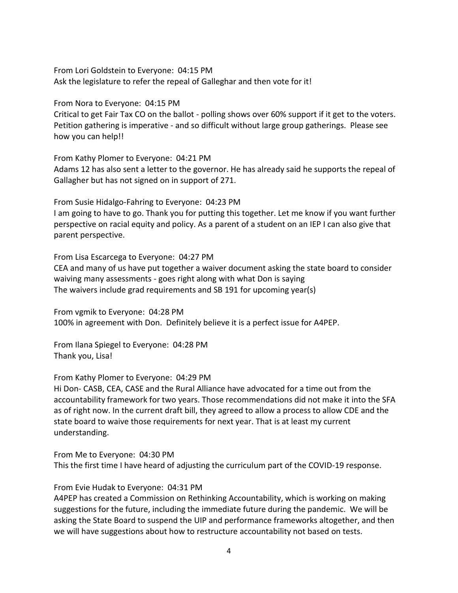From Lori Goldstein to Everyone: 04:15 PM Ask the legislature to refer the repeal of Galleghar and then vote for it!

From Nora to Everyone: 04:15 PM

Critical to get Fair Tax CO on the ballot - polling shows over 60% support if it get to the voters. Petition gathering is imperative - and so difficult without large group gatherings. Please see how you can help!!

From Kathy Plomer to Everyone: 04:21 PM Adams 12 has also sent a letter to the governor. He has already said he supports the repeal of Gallagher but has not signed on in support of 271.

From Susie Hidalgo-Fahring to Everyone: 04:23 PM I am going to have to go. Thank you for putting this together. Let me know if you want further perspective on racial equity and policy. As a parent of a student on an IEP I can also give that parent perspective.

From Lisa Escarcega to Everyone: 04:27 PM

CEA and many of us have put together a waiver document asking the state board to consider waiving many assessments - goes right along with what Don is saying The waivers include grad requirements and SB 191 for upcoming year(s)

From vgmik to Everyone: 04:28 PM 100% in agreement with Don. Definitely believe it is a perfect issue for A4PEP.

From Ilana Spiegel to Everyone: 04:28 PM Thank you, Lisa!

From Kathy Plomer to Everyone: 04:29 PM

Hi Don- CASB, CEA, CASE and the Rural Alliance have advocated for a time out from the accountability framework for two years. Those recommendations did not make it into the SFA as of right now. In the current draft bill, they agreed to allow a process to allow CDE and the state board to waive those requirements for next year. That is at least my current understanding.

From Me to Everyone: 04:30 PM This the first time I have heard of adjusting the curriculum part of the COVID-19 response.

From Evie Hudak to Everyone: 04:31 PM

A4PEP has created a Commission on Rethinking Accountability, which is working on making suggestions for the future, including the immediate future during the pandemic. We will be asking the State Board to suspend the UIP and performance frameworks altogether, and then we will have suggestions about how to restructure accountability not based on tests.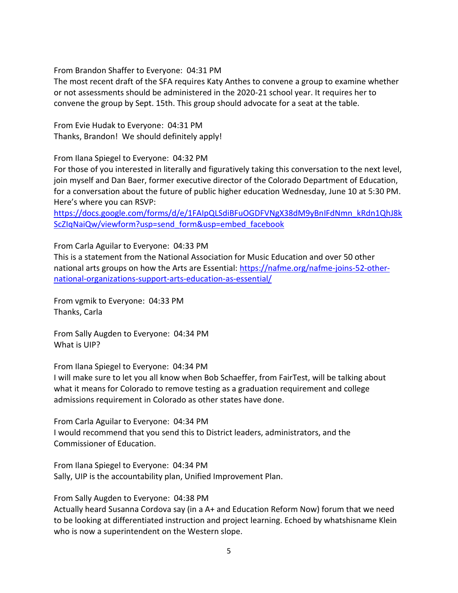From Brandon Shaffer to Everyone: 04:31 PM

The most recent draft of the SFA requires Katy Anthes to convene a group to examine whether or not assessments should be administered in the 2020-21 school year. It requires her to convene the group by Sept. 15th. This group should advocate for a seat at the table.

From Evie Hudak to Everyone: 04:31 PM Thanks, Brandon! We should definitely apply!

From Ilana Spiegel to Everyone: 04:32 PM

For those of you interested in literally and figuratively taking this conversation to the next level, join myself and Dan Baer, former executive director of the Colorado Department of Education, for a conversation about the future of public higher education Wednesday, June 10 at 5:30 PM. Here's where you can RSVP:

[https://docs.google.com/forms/d/e/1FAIpQLSdiBFuOGDFVNgX38dM9yBnIFdNmn\\_kRdn1QhJ8k](https://docs.google.com/forms/d/e/1FAIpQLSdiBFuOGDFVNgX38dM9yBnIFdNmn_kRdn1QhJ8kScZIqNaiQw/viewform?usp=send_form&usp=embed_facebook) [ScZIqNaiQw/viewform?usp=send\\_form&usp=embed\\_facebook](https://docs.google.com/forms/d/e/1FAIpQLSdiBFuOGDFVNgX38dM9yBnIFdNmn_kRdn1QhJ8kScZIqNaiQw/viewform?usp=send_form&usp=embed_facebook)

From Carla Aguilar to Everyone: 04:33 PM

This is a statement from the National Association for Music Education and over 50 other national arts groups on how the Arts are Essential: [https://nafme.org/nafme-joins-52-other](https://nafme.org/nafme-joins-52-other-national-organizations-support-arts-education-as-essential/)[national-organizations-support-arts-education-as-essential/](https://nafme.org/nafme-joins-52-other-national-organizations-support-arts-education-as-essential/)

From vgmik to Everyone: 04:33 PM Thanks, Carla

From Sally Augden to Everyone: 04:34 PM What is UIP?

From Ilana Spiegel to Everyone: 04:34 PM

I will make sure to let you all know when Bob Schaeffer, from FairTest, will be talking about what it means for Colorado to remove testing as a graduation requirement and college admissions requirement in Colorado as other states have done.

From Carla Aguilar to Everyone: 04:34 PM I would recommend that you send this to District leaders, administrators, and the Commissioner of Education.

From Ilana Spiegel to Everyone: 04:34 PM Sally, UIP is the accountability plan, Unified Improvement Plan.

From Sally Augden to Everyone: 04:38 PM

Actually heard Susanna Cordova say (in a A+ and Education Reform Now) forum that we need to be looking at differentiated instruction and project learning. Echoed by whatshisname Klein who is now a superintendent on the Western slope.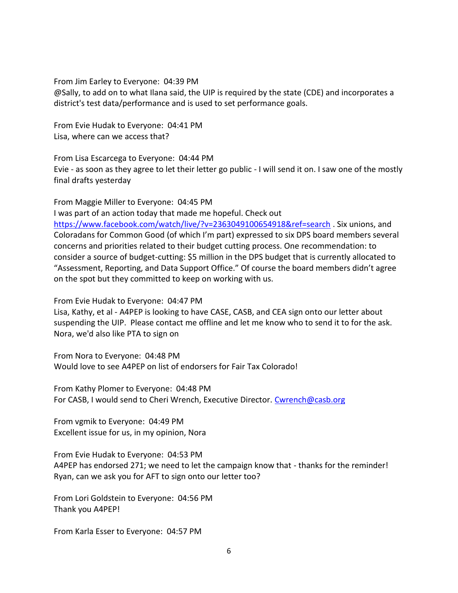From Jim Earley to Everyone: 04:39 PM

@Sally, to add on to what Ilana said, the UIP is required by the state (CDE) and incorporates a district's test data/performance and is used to set performance goals.

From Evie Hudak to Everyone: 04:41 PM Lisa, where can we access that?

From Lisa Escarcega to Everyone: 04:44 PM Evie - as soon as they agree to let their letter go public - I will send it on. I saw one of the mostly final drafts yesterday

From Maggie Miller to Everyone: 04:45 PM I was part of an action today that made me hopeful. Check out <https://www.facebook.com/watch/live/?v=2363049100654918&ref=search> . Six unions, and Coloradans for Common Good (of which I'm part) expressed to six DPS board members several concerns and priorities related to their budget cutting process. One recommendation: to consider a source of budget-cutting: \$5 million in the DPS budget that is currently allocated to "Assessment, Reporting, and Data Support Office." Of course the board members didn't agree on the spot but they committed to keep on working with us.

From Evie Hudak to Everyone: 04:47 PM

Lisa, Kathy, et al - A4PEP is looking to have CASE, CASB, and CEA sign onto our letter about suspending the UIP. Please contact me offline and let me know who to send it to for the ask. Nora, we'd also like PTA to sign on

From Nora to Everyone: 04:48 PM Would love to see A4PEP on list of endorsers for Fair Tax Colorado!

From Kathy Plomer to Everyone: 04:48 PM For CASB, I would send to Cheri Wrench, Executive Director. [Cwrench@casb.org](mailto:Cwrench@casb.org)

From vgmik to Everyone: 04:49 PM Excellent issue for us, in my opinion, Nora

From Evie Hudak to Everyone: 04:53 PM A4PEP has endorsed 271; we need to let the campaign know that - thanks for the reminder! Ryan, can we ask you for AFT to sign onto our letter too?

From Lori Goldstein to Everyone: 04:56 PM Thank you A4PEP!

From Karla Esser to Everyone: 04:57 PM